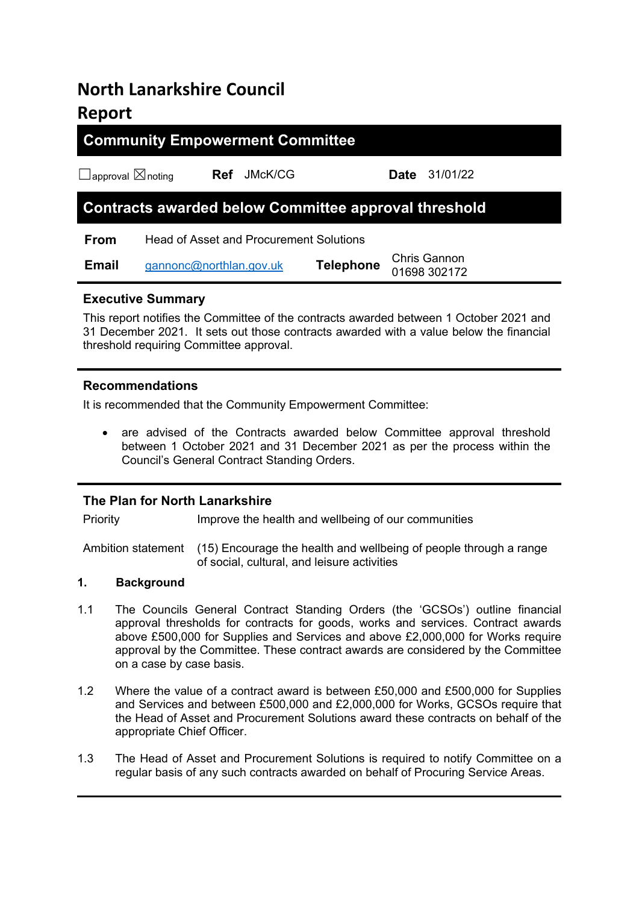# **North Lanarkshire Council Report**

# **Community Empowerment Committee**

☐approval ☒noting **Ref** JMcK/CG **Date** 31/01/22

# **Contracts awarded below Committee approval threshold**

**From** Head of Asset and Procurement Solutions

| <b>Email</b> | gannonc@northlan.gov.uk | <b>Telephone</b> | <b>Chris Gannon</b> |  |
|--------------|-------------------------|------------------|---------------------|--|
|              |                         |                  | 01698 302172        |  |

# **Executive Summary**

This report notifies the Committee of the contracts awarded between 1 October 2021 and 31 December 2021. It sets out those contracts awarded with a value below the financial threshold requiring Committee approval.

# **Recommendations**

It is recommended that the Community Empowerment Committee:

 are advised of the Contracts awarded below Committee approval threshold between 1 October 2021 and 31 December 2021 as per the process within the Council's General Contract Standing Orders.

# **The Plan for North Lanarkshire**

Priority Improve the health and wellbeing of our communities

Ambition statement (15) Encourage the health and wellbeing of people through a range of social, cultural, and leisure activities

# **1. Background**

- 1.1 The Councils General Contract Standing Orders (the 'GCSOs') outline financial approval thresholds for contracts for goods, works and services. Contract awards above £500,000 for Supplies and Services and above £2,000,000 for Works require approval by the Committee. These contract awards are considered by the Committee on a case by case basis.
- 1.2 Where the value of a contract award is between £50,000 and £500,000 for Supplies and Services and between £500,000 and £2,000,000 for Works, GCSOs require that the Head of Asset and Procurement Solutions award these contracts on behalf of the appropriate Chief Officer.
- 1.3 The Head of Asset and Procurement Solutions is required to notify Committee on a regular basis of any such contracts awarded on behalf of Procuring Service Areas.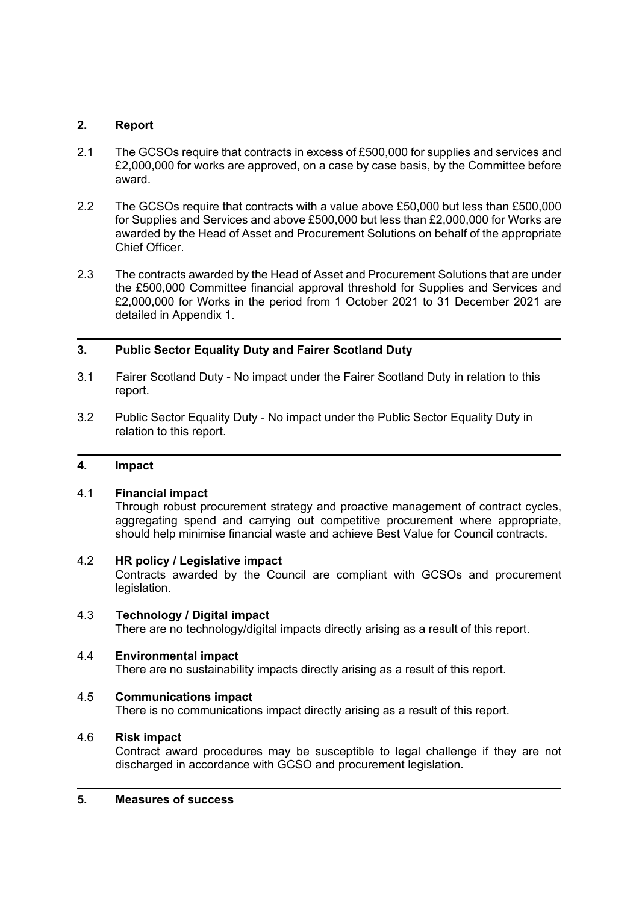#### **2. Report**

- 2.1 The GCSOs require that contracts in excess of £500,000 for supplies and services and £2,000,000 for works are approved, on a case by case basis, by the Committee before award.
- 2.2 The GCSOs require that contracts with a value above £50,000 but less than £500,000 for Supplies and Services and above £500,000 but less than £2,000,000 for Works are awarded by the Head of Asset and Procurement Solutions on behalf of the appropriate Chief Officer.
- 2.3 The contracts awarded by the Head of Asset and Procurement Solutions that are under the £500,000 Committee financial approval threshold for Supplies and Services and £2,000,000 for Works in the period from 1 October 2021 to 31 December 2021 are detailed in Appendix 1.

# **3. Public Sector Equality Duty and Fairer Scotland Duty**

- 3.1 Fairer Scotland Duty No impact under the Fairer Scotland Duty in relation to this report.
- 3.2 Public Sector Equality Duty No impact under the Public Sector Equality Duty in relation to this report.

#### **4. Impact**

### 4.1 **Financial impact**

 Through robust procurement strategy and proactive management of contract cycles, aggregating spend and carrying out competitive procurement where appropriate, should help minimise financial waste and achieve Best Value for Council contracts.

#### 4.2 **HR policy / Legislative impact**

 Contracts awarded by the Council are compliant with GCSOs and procurement legislation.

4.3 **Technology / Digital impact** There are no technology/digital impacts directly arising as a result of this report.

# 4.4 **Environmental impact**

There are no sustainability impacts directly arising as a result of this report.

#### 4.5 **Communications impact**

There is no communications impact directly arising as a result of this report.

# 4.6 **Risk impact**

 Contract award procedures may be susceptible to legal challenge if they are not discharged in accordance with GCSO and procurement legislation.

#### **5. Measures of success**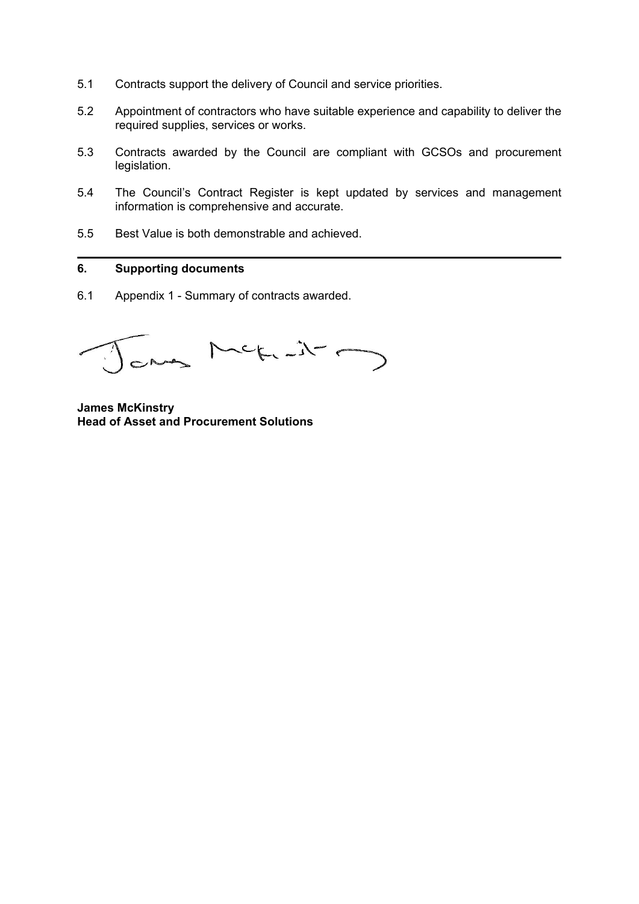- 5.1 Contracts support the delivery of Council and service priorities.
- 5.2 Appointment of contractors who have suitable experience and capability to deliver the required supplies, services or works.
- 5.3 Contracts awarded by the Council are compliant with GCSOs and procurement legislation.
- 5.4 The Council's Contract Register is kept updated by services and management information is comprehensive and accurate.
- 5.5 Best Value is both demonstrable and achieved.

#### **6. Supporting documents**

6.1 Appendix 1 - Summary of contracts awarded.

any Meticity

**James McKinstry Head of Asset and Procurement Solutions**